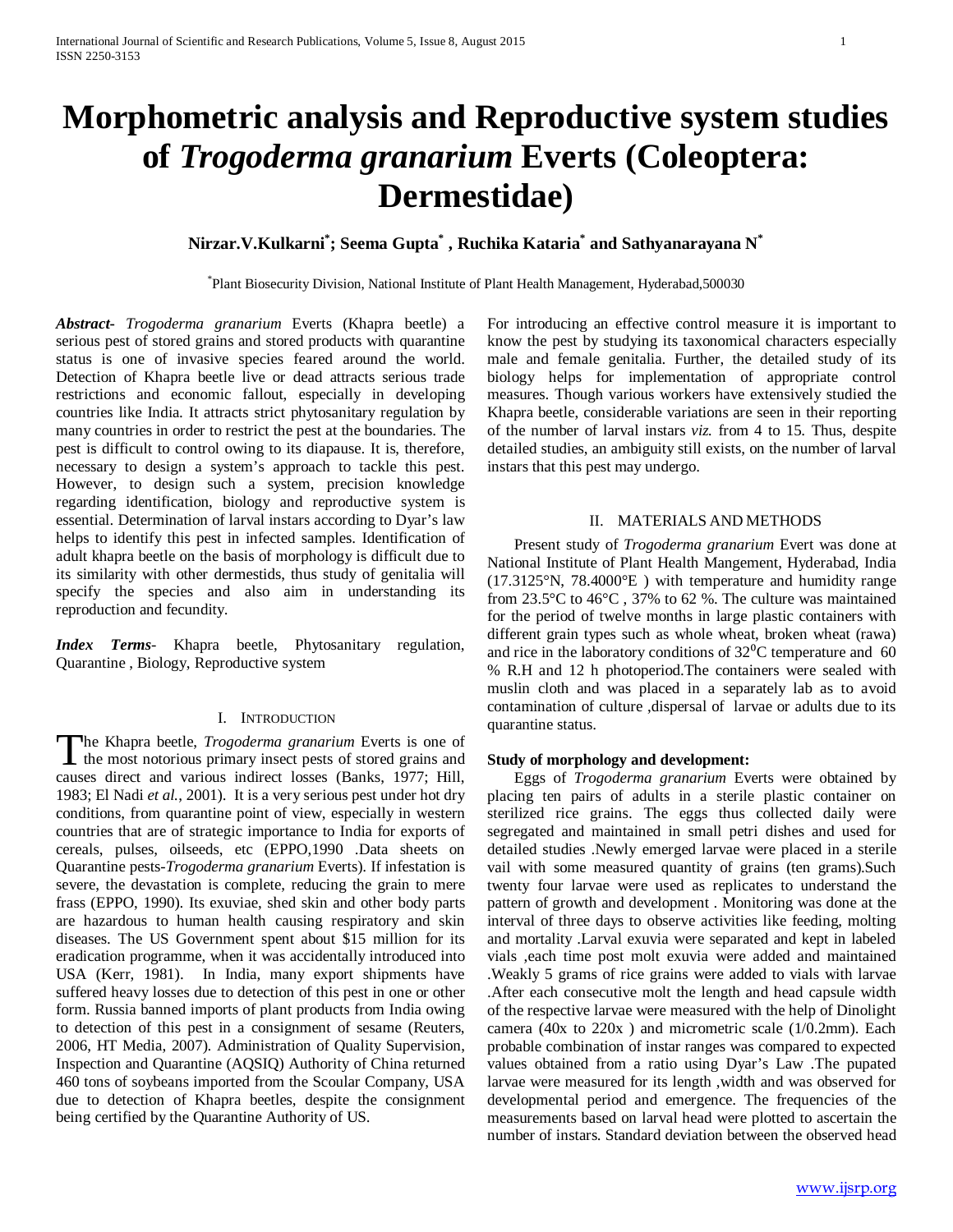# **Morphometric analysis and Reproductive system studies of** *Trogoderma granarium* **Everts (Coleoptera: Dermestidae)**

## **Nirzar.V.Kulkarni\* ; Seema Gupta\* , Ruchika Kataria\* and Sathyanarayana N\***

\* Plant Biosecurity Division, National Institute of Plant Health Management, Hyderabad,500030

*Abstract***-** *Trogoderma granarium* Everts (Khapra beetle) a serious pest of stored grains and stored products with quarantine status is one of invasive species feared around the world. Detection of Khapra beetle live or dead attracts serious trade restrictions and economic fallout, especially in developing countries like India. It attracts strict phytosanitary regulation by many countries in order to restrict the pest at the boundaries. The pest is difficult to control owing to its diapause. It is, therefore, necessary to design a system's approach to tackle this pest. However, to design such a system, precision knowledge regarding identification, biology and reproductive system is essential. Determination of larval instars according to Dyar's law helps to identify this pest in infected samples. Identification of adult khapra beetle on the basis of morphology is difficult due to its similarity with other dermestids, thus study of genitalia will specify the species and also aim in understanding its reproduction and fecundity.

*Index Terms*- Khapra beetle, Phytosanitary regulation, Quarantine , Biology, Reproductive system

#### I. INTRODUCTION

he Khapra beetle, *Trogoderma granarium* Everts is one of The Khapra beetle, *Trogoderma granarium* Everts is one of<br>the most notorious primary insect pests of stored grains and<br> $\frac{1}{2}$ causes direct and various indirect losses (Banks, 1977; Hill, 1983; El Nadi *et al.*, 2001). It is a very serious pest under hot dry conditions, from quarantine point of view, especially in western countries that are of strategic importance to India for exports of cereals, pulses, oilseeds, etc (EPPO,1990 .Data sheets on Quarantine pests-*Trogoderma granarium* Everts). If infestation is severe, the devastation is complete, reducing the grain to mere frass (EPPO, 1990). Its exuviae, shed skin and other body parts are hazardous to human health causing respiratory and skin diseases. The US Government spent about \$15 million for its eradication programme, when it was accidentally introduced into USA (Kerr, 1981). In India, many export shipments have suffered heavy losses due to detection of this pest in one or other form. Russia banned imports of plant products from India owing to detection of this pest in a consignment of sesame (Reuters, 2006, HT Media, 2007). Administration of Quality Supervision, Inspection and Quarantine (AQSIQ) Authority of China returned 460 tons of soybeans imported from the Scoular Company, USA due to detection of Khapra beetles, despite the consignment being certified by the Quarantine Authority of US.

For introducing an effective control measure it is important to know the pest by studying its taxonomical characters especially male and female genitalia. Further, the detailed study of its biology helps for implementation of appropriate control measures. Though various workers have extensively studied the Khapra beetle, considerable variations are seen in their reporting of the number of larval instars *viz.* from 4 to 15. Thus, despite detailed studies, an ambiguity still exists, on the number of larval instars that this pest may undergo.

#### II. MATERIALS AND METHODS

 Present study of *Trogoderma granarium* Evert was done at National Institute of Plant Health Mangement, Hyderabad, India (17.3125°N, 78.4000°E ) with temperature and humidity range from 23.5°C to 46°C , 37% to 62 %. The culture was maintained for the period of twelve months in large plastic containers with different grain types such as whole wheat, broken wheat (rawa) and rice in the laboratory conditions of  $32^{\circ}$ C temperature and 60 % R.H and 12 h photoperiod.The containers were sealed with muslin cloth and was placed in a separately lab as to avoid contamination of culture ,dispersal of larvae or adults due to its quarantine status.

### **Study of morphology and development:**

 Eggs of *Trogoderma granarium* Everts were obtained by placing ten pairs of adults in a sterile plastic container on sterilized rice grains. The eggs thus collected daily were segregated and maintained in small petri dishes and used for detailed studies .Newly emerged larvae were placed in a sterile vail with some measured quantity of grains (ten grams).Such twenty four larvae were used as replicates to understand the pattern of growth and development . Monitoring was done at the interval of three days to observe activities like feeding, molting and mortality .Larval exuvia were separated and kept in labeled vials ,each time post molt exuvia were added and maintained .Weakly 5 grams of rice grains were added to vials with larvae .After each consecutive molt the length and head capsule width of the respective larvae were measured with the help of Dinolight camera (40x to 220x ) and micrometric scale (1/0.2mm). Each probable combination of instar ranges was compared to expected values obtained from a ratio using Dyar's Law .The pupated larvae were measured for its length ,width and was observed for developmental period and emergence. The frequencies of the measurements based on larval head were plotted to ascertain the number of instars. Standard deviation between the observed head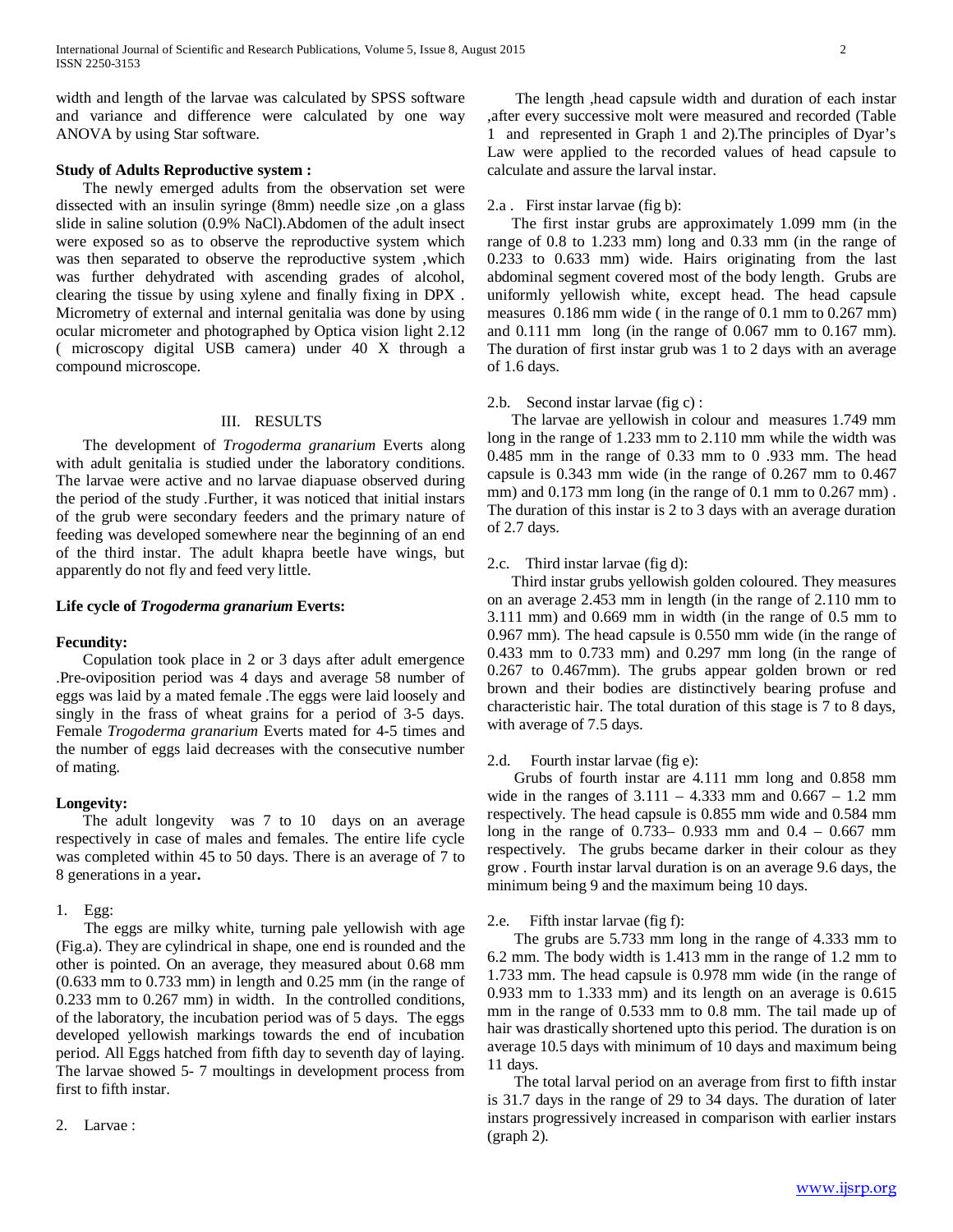width and length of the larvae was calculated by SPSS software and variance and difference were calculated by one way ANOVA by using Star software.

#### **Study of Adults Reproductive system :**

 The newly emerged adults from the observation set were dissected with an insulin syringe (8mm) needle size ,on a glass slide in saline solution (0.9% NaCl).Abdomen of the adult insect were exposed so as to observe the reproductive system which was then separated to observe the reproductive system ,which was further dehydrated with ascending grades of alcohol, clearing the tissue by using xylene and finally fixing in DPX . Micrometry of external and internal genitalia was done by using ocular micrometer and photographed by Optica vision light 2.12 ( microscopy digital USB camera) under 40 X through a compound microscope.

#### III. RESULTS

 The development of *Trogoderma granarium* Everts along with adult genitalia is studied under the laboratory conditions. The larvae were active and no larvae diapuase observed during the period of the study .Further, it was noticed that initial instars of the grub were secondary feeders and the primary nature of feeding was developed somewhere near the beginning of an end of the third instar. The adult khapra beetle have wings, but apparently do not fly and feed very little.

#### **Life cycle of** *Trogoderma granarium* **Everts:**

#### **Fecundity:**

 Copulation took place in 2 or 3 days after adult emergence .Pre-oviposition period was 4 days and average 58 number of eggs was laid by a mated female .The eggs were laid loosely and singly in the frass of wheat grains for a period of 3-5 days. Female *Trogoderma granarium* Everts mated for 4-5 times and the number of eggs laid decreases with the consecutive number of mating.

#### **Longevity:**

 The adult longevity was 7 to 10 days on an average respectively in case of males and females. The entire life cycle was completed within 45 to 50 days. There is an average of 7 to 8 generations in a year**.**

#### 1. Egg:

The eggs are milky white, turning pale yellowish with age (Fig.a). They are cylindrical in shape, one end is rounded and the other is pointed. On an average, they measured about 0.68 mm (0.633 mm to 0.733 mm) in length and 0.25 mm (in the range of 0.233 mm to 0.267 mm) in width. In the controlled conditions, of the laboratory, the incubation period was of 5 days. The eggs developed yellowish markings towards the end of incubation period. All Eggs hatched from fifth day to seventh day of laying. The larvae showed 5- 7 moultings in development process from first to fifth instar.

2. Larvae :

The length ,head capsule width and duration of each instar ,after every successive molt were measured and recorded (Table 1 and represented in Graph 1 and 2).The principles of Dyar's Law were applied to the recorded values of head capsule to calculate and assure the larval instar.

#### 2.a . First instar larvae (fig b):

 The first instar grubs are approximately 1.099 mm (in the range of 0.8 to 1.233 mm) long and 0.33 mm (in the range of 0.233 to 0.633 mm) wide. Hairs originating from the last abdominal segment covered most of the body length. Grubs are uniformly yellowish white, except head. The head capsule measures 0.186 mm wide ( in the range of 0.1 mm to 0.267 mm) and 0.111 mm long (in the range of 0.067 mm to 0.167 mm). The duration of first instar grub was 1 to 2 days with an average of 1.6 days.

#### 2.b. Second instar larvae (fig c) :

 The larvae are yellowish in colour and measures 1.749 mm long in the range of 1.233 mm to 2.110 mm while the width was 0.485 mm in the range of 0.33 mm to 0 .933 mm. The head capsule is 0.343 mm wide (in the range of 0.267 mm to 0.467 mm) and  $0.173$  mm long (in the range of  $0.1$  mm to  $0.267$  mm). The duration of this instar is 2 to 3 days with an average duration of 2.7 days.

#### 2.c. Third instar larvae (fig d):

 Third instar grubs yellowish golden coloured. They measures on an average 2.453 mm in length (in the range of 2.110 mm to 3.111 mm) and 0.669 mm in width (in the range of 0.5 mm to 0.967 mm). The head capsule is 0.550 mm wide (in the range of 0.433 mm to 0.733 mm) and 0.297 mm long (in the range of 0.267 to 0.467mm). The grubs appear golden brown or red brown and their bodies are distinctively bearing profuse and characteristic hair. The total duration of this stage is 7 to 8 days, with average of 7.5 days.

#### 2.d. Fourth instar larvae (fig e):

 Grubs of fourth instar are 4.111 mm long and 0.858 mm wide in the ranges of  $3.111 - 4.333$  mm and  $0.667 - 1.2$  mm respectively. The head capsule is 0.855 mm wide and 0.584 mm long in the range of 0.733– 0.933 mm and 0.4 – 0.667 mm respectively. The grubs became darker in their colour as they grow . Fourth instar larval duration is on an average 9.6 days, the minimum being 9 and the maximum being 10 days.

#### 2.e. Fifth instar larvae (fig f):

 The grubs are 5.733 mm long in the range of 4.333 mm to 6.2 mm. The body width is 1.413 mm in the range of 1.2 mm to 1.733 mm. The head capsule is 0.978 mm wide (in the range of 0.933 mm to 1.333 mm) and its length on an average is 0.615 mm in the range of 0.533 mm to 0.8 mm. The tail made up of hair was drastically shortened upto this period. The duration is on average 10.5 days with minimum of 10 days and maximum being 11 days.

 The total larval period on an average from first to fifth instar is 31.7 days in the range of 29 to 34 days. The duration of later instars progressively increased in comparison with earlier instars (graph 2).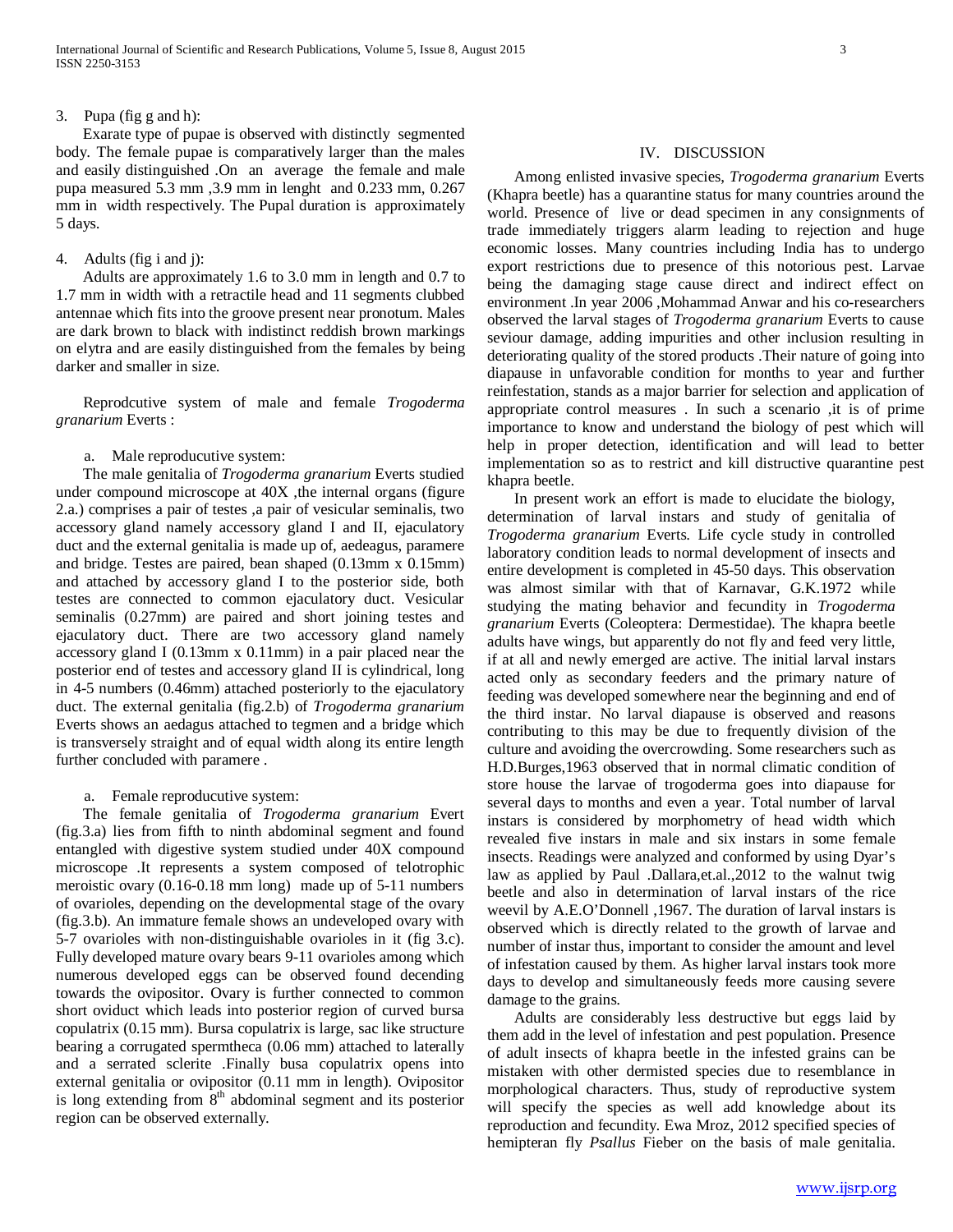#### 3. Pupa (fig g and h):

 Exarate type of pupae is observed with distinctly segmented body. The female pupae is comparatively larger than the males and easily distinguished .On an average the female and male pupa measured 5.3 mm ,3.9 mm in lenght and 0.233 mm, 0.267 mm in width respectively. The Pupal duration is approximately 5 days.

#### 4. Adults (fig i and j):

 Adults are approximately 1.6 to 3.0 mm in length and 0.7 to 1.7 mm in width with a retractile head and 11 segments clubbed antennae which fits into the groove present near pronotum. Males are dark brown to black with indistinct reddish brown markings on elytra and are easily distinguished from the females by being darker and smaller in size.

 Reprodcutive system of male and female *Trogoderma granarium* Everts :

#### a. Male reproducutive system:

 The male genitalia of *Trogoderma granarium* Everts studied under compound microscope at 40X , the internal organs (figure 2.a.) comprises a pair of testes ,a pair of vesicular seminalis, two accessory gland namely accessory gland I and II, ejaculatory duct and the external genitalia is made up of, aedeagus, paramere and bridge. Testes are paired, bean shaped (0.13mm x 0.15mm) and attached by accessory gland I to the posterior side, both testes are connected to common ejaculatory duct. Vesicular seminalis (0.27mm) are paired and short joining testes and ejaculatory duct. There are two accessory gland namely accessory gland I (0.13mm x 0.11mm) in a pair placed near the posterior end of testes and accessory gland II is cylindrical, long in 4-5 numbers (0.46mm) attached posteriorly to the ejaculatory duct. The external genitalia (fig.2.b) of *Trogoderma granarium* Everts shows an aedagus attached to tegmen and a bridge which is transversely straight and of equal width along its entire length further concluded with paramere .

#### a. Female reproducutive system:

 The female genitalia of *Trogoderma granarium* Evert (fig.3.a) lies from fifth to ninth abdominal segment and found entangled with digestive system studied under 40X compound microscope .It represents a system composed of telotrophic meroistic ovary (0.16-0.18 mm long) made up of 5-11 numbers of ovarioles, depending on the developmental stage of the ovary (fig.3.b). An immature female shows an undeveloped ovary with 5-7 ovarioles with non-distinguishable ovarioles in it (fig 3.c). Fully developed mature ovary bears 9-11 ovarioles among which numerous developed eggs can be observed found decending towards the ovipositor. Ovary is further connected to common short oviduct which leads into posterior region of curved bursa copulatrix (0.15 mm). Bursa copulatrix is large, sac like structure bearing a corrugated spermtheca (0.06 mm) attached to laterally and a serrated sclerite .Finally busa copulatrix opens into external genitalia or ovipositor (0.11 mm in length). Ovipositor is long extending from  $8<sup>th</sup>$  abdominal segment and its posterior region can be observed externally.

## IV. DISCUSSION

 Among enlisted invasive species, *Trogoderma granarium* Everts (Khapra beetle) has a quarantine status for many countries around the world. Presence of live or dead specimen in any consignments of trade immediately triggers alarm leading to rejection and huge economic losses. Many countries including India has to undergo export restrictions due to presence of this notorious pest. Larvae being the damaging stage cause direct and indirect effect on environment .In year 2006 ,Mohammad Anwar and his co-researchers observed the larval stages of *Trogoderma granarium* Everts to cause seviour damage, adding impurities and other inclusion resulting in deteriorating quality of the stored products .Their nature of going into diapause in unfavorable condition for months to year and further reinfestation, stands as a major barrier for selection and application of appropriate control measures . In such a scenario ,it is of prime importance to know and understand the biology of pest which will help in proper detection, identification and will lead to better implementation so as to restrict and kill distructive quarantine pest khapra beetle.

 In present work an effort is made to elucidate the biology, determination of larval instars and study of genitalia of *Trogoderma granarium* Everts. Life cycle study in controlled laboratory condition leads to normal development of insects and entire development is completed in 45-50 days. This observation was almost similar with that of Karnavar, G.K.1972 while studying the mating behavior and fecundity in *Trogoderma granarium* Everts (Coleoptera: Dermestidae). The khapra beetle adults have wings, but apparently do not fly and feed very little, if at all and newly emerged are active. The initial larval instars acted only as secondary feeders and the primary nature of feeding was developed somewhere near the beginning and end of the third instar. No larval diapause is observed and reasons contributing to this may be due to frequently division of the culture and avoiding the overcrowding. Some researchers such as H.D.Burges,1963 observed that in normal climatic condition of store house the larvae of trogoderma goes into diapause for several days to months and even a year. Total number of larval instars is considered by morphometry of head width which revealed five instars in male and six instars in some female insects. Readings were analyzed and conformed by using Dyar's law as applied by Paul .Dallara,et.al.,2012 to the walnut twig beetle and also in determination of larval instars of the rice weevil by A.E.O'Donnell ,1967. The duration of larval instars is observed which is directly related to the growth of larvae and number of instar thus, important to consider the amount and level of infestation caused by them. As higher larval instars took more days to develop and simultaneously feeds more causing severe damage to the grains.

 Adults are considerably less destructive but eggs laid by them add in the level of infestation and pest population. Presence of adult insects of khapra beetle in the infested grains can be mistaken with other dermisted species due to resemblance in morphological characters. Thus, study of reproductive system will specify the species as well add knowledge about its reproduction and fecundity. Ewa Mroz, 2012 specified species of hemipteran fly *Psallus* Fieber on the basis of male genitalia.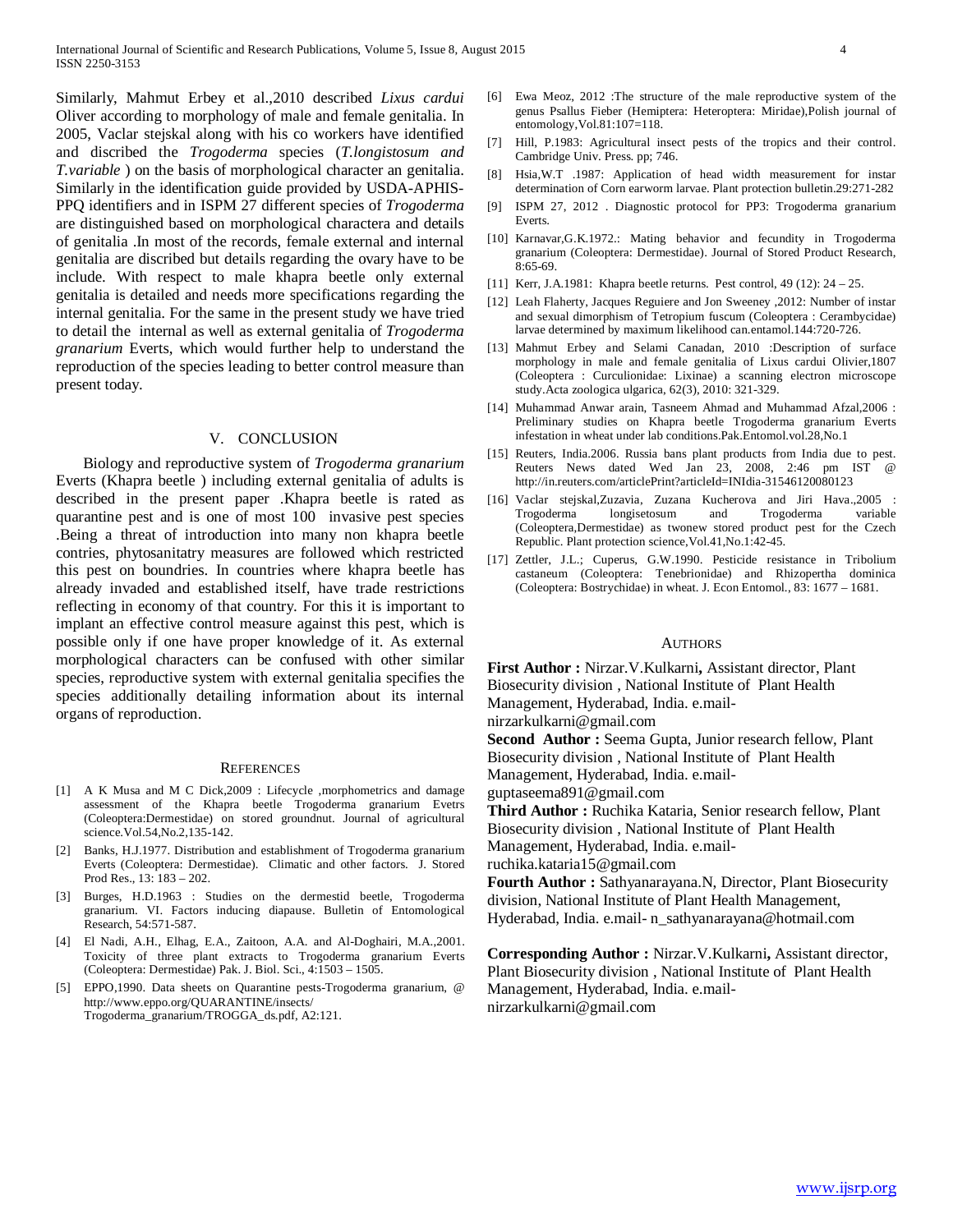Similarly, Mahmut Erbey et al.,2010 described *Lixus cardui* Oliver according to morphology of male and female genitalia. In 2005, Vaclar stejskal along with his co workers have identified and discribed the *Trogoderma* species (*T.longistosum and T.variable* ) on the basis of morphological character an genitalia. Similarly in the identification guide provided by USDA-APHIS-PPQ identifiers and in ISPM 27 different species of *Trogoderma* are distinguished based on morphological charactera and details of genitalia .In most of the records, female external and internal genitalia are discribed but details regarding the ovary have to be include. With respect to male khapra beetle only external genitalia is detailed and needs more specifications regarding the internal genitalia. For the same in the present study we have tried to detail the internal as well as external genitalia of *Trogoderma granarium* Everts, which would further help to understand the reproduction of the species leading to better control measure than present today.

#### V. CONCLUSION

 Biology and reproductive system of *Trogoderma granarium* Everts (Khapra beetle ) including external genitalia of adults is described in the present paper .Khapra beetle is rated as quarantine pest and is one of most 100 invasive pest species .Being a threat of introduction into many non khapra beetle contries, phytosanitatry measures are followed which restricted this pest on boundries. In countries where khapra beetle has already invaded and established itself, have trade restrictions reflecting in economy of that country. For this it is important to implant an effective control measure against this pest, which is possible only if one have proper knowledge of it. As external morphological characters can be confused with other similar species, reproductive system with external genitalia specifies the species additionally detailing information about its internal organs of reproduction.

#### **REFERENCES**

- [1] A K Musa and M C Dick,2009 : Lifecycle ,morphometrics and damage assessment of the Khapra beetle Trogoderma granarium Evetrs (Coleoptera:Dermestidae) on stored groundnut. Journal of agricultural science.Vol.54,No.2,135-142.
- [2] Banks, H.J.1977. Distribution and establishment of Trogoderma granarium Everts (Coleoptera: Dermestidae). Climatic and other factors. J. Stored Prod Res., 13: 183 – 202.
- [3] Burges, H.D.1963 : Studies on the dermestid beetle, Trogoderma granarium. VI. Factors inducing diapause. Bulletin of Entomological Research, 54:571-587.
- [4] El Nadi, A.H., Elhag, E.A., Zaitoon, A.A. and Al-Doghairi, M.A.,2001. Toxicity of three plant extracts to Trogoderma granarium Everts (Coleoptera: Dermestidae) Pak. J. Biol. Sci., 4:1503 – 1505.
- [5] EPPO,1990. Data sheets on Quarantine pests-Trogoderma granarium, @ http://www.eppo.org/QUARANTINE/insects/ Trogoderma\_granarium/TROGGA\_ds.pdf, A2:121.
- [6] Ewa Meoz, 2012 :The structure of the male reproductive system of the genus Psallus Fieber (Hemiptera: Heteroptera: Miridae),Polish journal of entomology,Vol.81:107=118.
- [7] Hill, P.1983: Agricultural insect pests of the tropics and their control. Cambridge Univ. Press. pp; 746.
- [8] Hsia,W.T .1987: Application of head width measurement for instar determination of Corn earworm larvae. Plant protection bulletin.29:271-282
- [9] ISPM 27, 2012 . Diagnostic protocol for PP3: Trogoderma granarium Everts.
- [10] Karnavar,G.K.1972.: Mating behavior and fecundity in Trogoderma granarium (Coleoptera: Dermestidae). Journal of Stored Product Research, 8:65-69.
- [11] Kerr, J.A.1981: Khapra beetle returns. Pest control, 49 (12): 24 25.
- [12] Leah Flaherty, Jacques Reguiere and Jon Sweeney ,2012: Number of instar and sexual dimorphism of Tetropium fuscum (Coleoptera : Cerambycidae) larvae determined by maximum likelihood can.entamol.144:720-726.
- [13] Mahmut Erbey and Selami Canadan, 2010 :Description of surface morphology in male and female genitalia of Lixus cardui Olivier,1807 (Coleoptera : Curculionidae: Lixinae) a scanning electron microscope study.Acta zoologica ulgarica, 62(3), 2010: 321-329.
- [14] Muhammad Anwar arain, Tasneem Ahmad and Muhammad Afzal,2006 : Preliminary studies on Khapra beetle Trogoderma granarium Everts infestation in wheat under lab conditions.Pak.Entomol.vol.28,No.1
- [15] Reuters, India.2006. Russia bans plant products from India due to pest. Reuters News dated Wed Jan 23, 2008, 2:46 pm IST @ http://in.reuters.com/articlePrint?articleId=INIdia-31546120080123
- [16] Vaclar stejskal,Zuzavia, Zuzana Kucherova and Jiri Hava.,2005 : Trogoderma longisetosum and Trogoderma variable (Coleoptera,Dermestidae) as twonew stored product pest for the Czech Republic. Plant protection science,Vol.41,No.1:42-45.
- [17] Zettler, J.L.; Cuperus, G.W.1990. Pesticide resistance in Tribolium castaneum (Coleoptera: Tenebrionidae) and Rhizopertha dominica (Coleoptera: Bostrychidae) in wheat. J. Econ Entomol., 83: 1677 – 1681.

#### AUTHORS

**First Author :** Nirzar.V.Kulkarni**,** Assistant director, Plant Biosecurity division , National Institute of Plant Health Management, Hyderabad, India. e.mail-

nirzarkulkarni@gmail.com

Second Author : Seema Gupta, Junior research fellow, Plant Biosecurity division , National Institute of Plant Health Management, Hyderabad, India. e.mail-

guptaseema891@gmail.com

**Third Author :** Ruchika Kataria, Senior research fellow, Plant Biosecurity division , National Institute of Plant Health Management, Hyderabad, India. e.mailruchika.kataria15@gmail.com

**Fourth Author :** Sathyanarayana.N, Director, Plant Biosecurity division, National Institute of Plant Health Management, Hyderabad, India. e.mail- n\_sathyanarayana@hotmail.com

**Corresponding Author :** Nirzar.V.Kulkarni**,** Assistant director, Plant Biosecurity division , National Institute of Plant Health Management, Hyderabad, India. e.mailnirzarkulkarni@gmail.com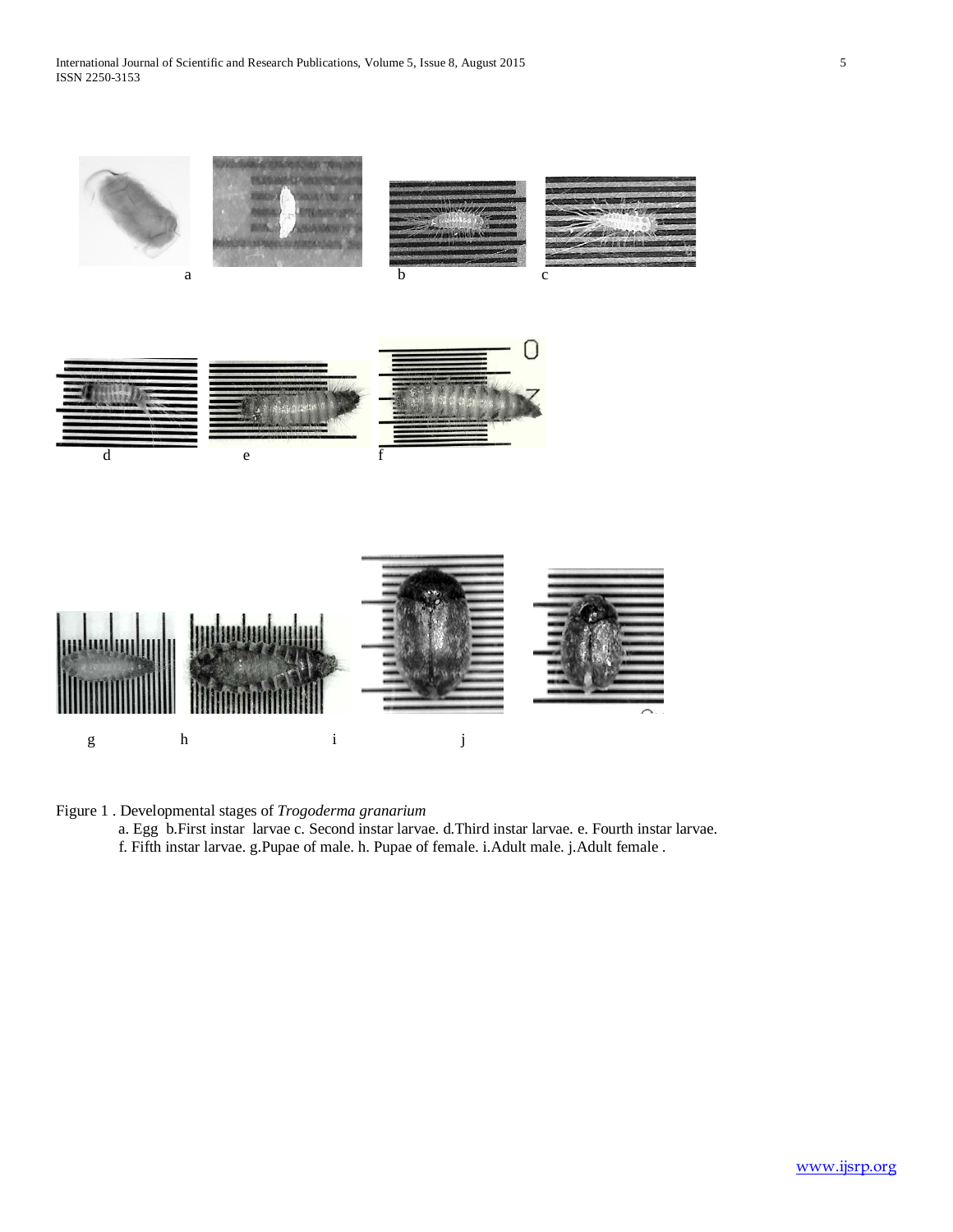

Figure 1 . Developmental stages of *Trogoderma granarium*

 a. Egg b.First instar larvae c. Second instar larvae. d.Third instar larvae. e. Fourth instar larvae. f. Fifth instar larvae. g.Pupae of male. h. Pupae of female. i.Adult male. j.Adult female .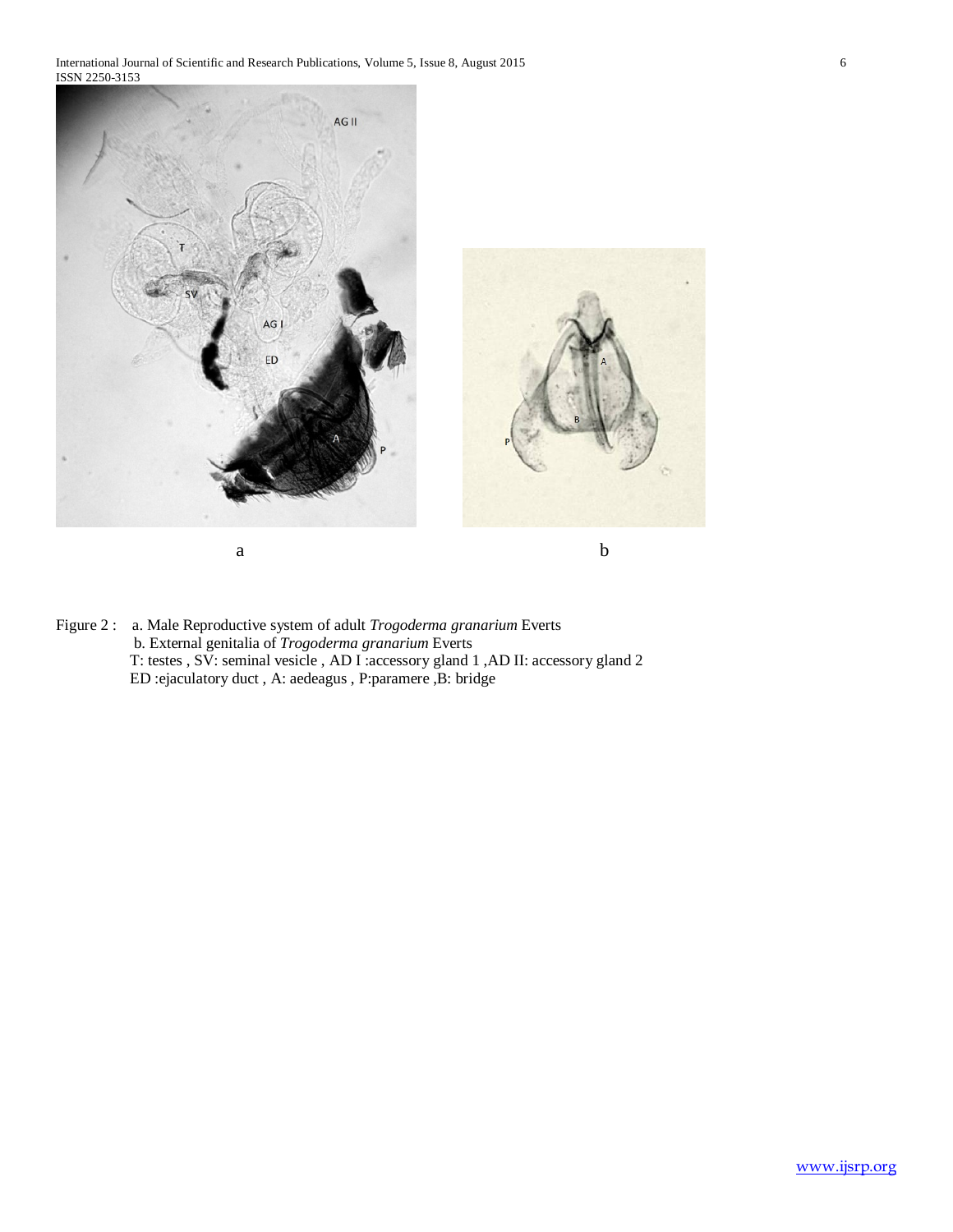International Journal of Scientific and Research Publications, Volume 5, Issue 8, August 2015 6 ISSN 2250-3153



Figure 2 : a. Male Reproductive system of adult *Trogoderma granarium* Everts b. External genitalia of *Trogoderma granarium* Everts T: testes , SV: seminal vesicle , AD I :accessory gland 1 ,AD II: accessory gland 2 ED :ejaculatory duct , A: aedeagus , P:paramere ,B: bridge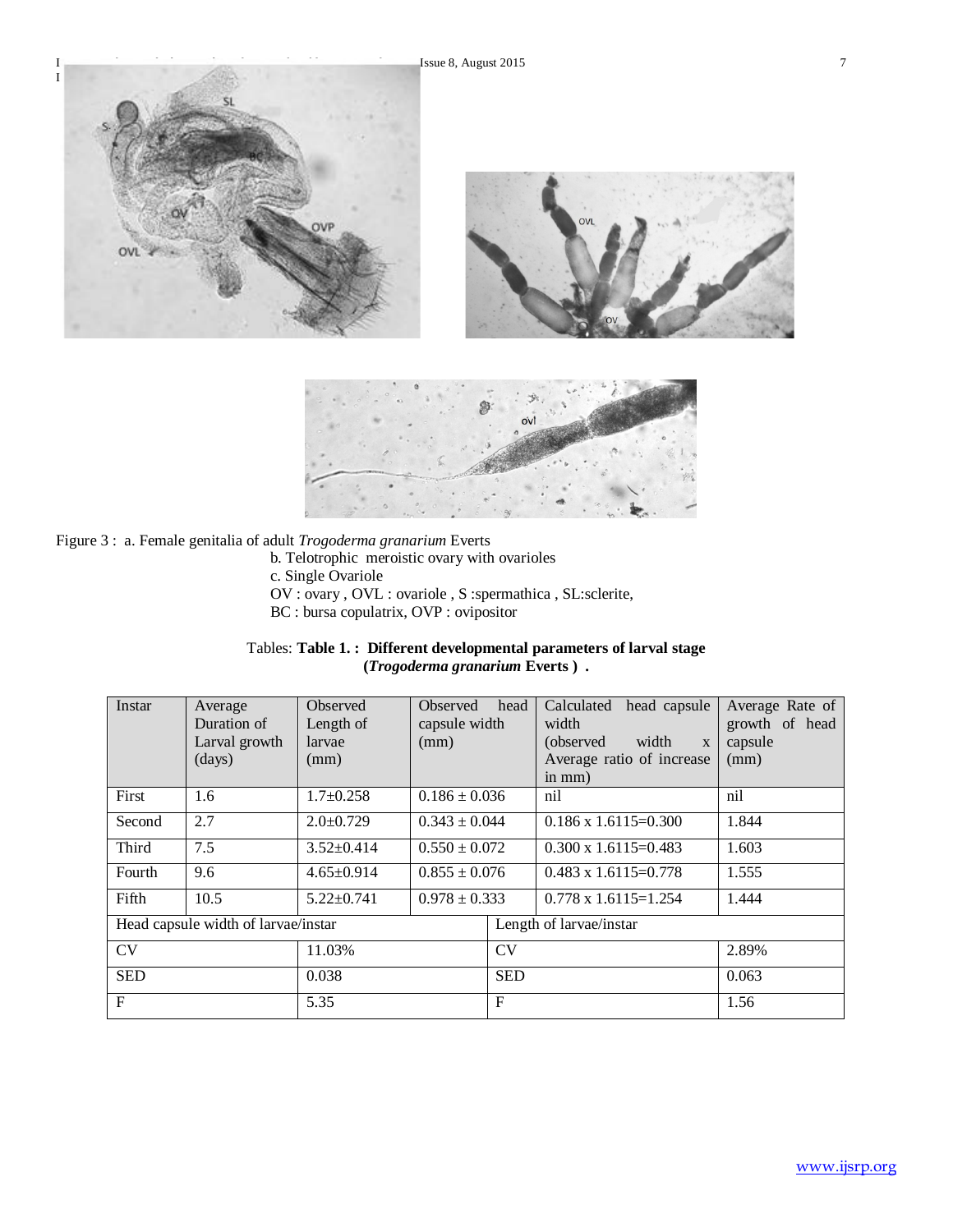



## Figure 3 : a. Female genitalia of adult *Trogoderma granarium* Everts b. Telotrophic meroistic ovary with ovarioles c. Single Ovariole OV : ovary , OVL : ovariole , S :spermathica , SL:sclerite, BC : bursa copulatrix, OVP : ovipositor

 $\mathbf{I}$  3250-31531

## Tables: **Table 1. : Different developmental parameters of larval stage (***Trogoderma granarium* **Everts ) .**

| Instar                              | Average<br>Duration of<br>Larval growth<br>$\frac{days}{9}$ | <b>Observed</b><br>Length of<br>larvae<br>(mm) | <b>Observed</b><br>capsule width<br>(mm) | head         | Calculated<br>head capsule<br>width<br>(observed<br>width<br>$\mathbf{x}$<br>Average ratio of increase<br>in $mm$ ) | Average Rate of<br>growth of head<br>capsule<br>(mm) |
|-------------------------------------|-------------------------------------------------------------|------------------------------------------------|------------------------------------------|--------------|---------------------------------------------------------------------------------------------------------------------|------------------------------------------------------|
| First                               | 1.6                                                         | $1.7 \pm 0.258$                                | $0.186 \pm 0.036$                        |              | nil                                                                                                                 | nil                                                  |
| Second                              | 2.7                                                         | $2.0 \pm 0.729$                                | $0.343 \pm 0.044$                        |              | $0.186 \times 1.6115 = 0.300$                                                                                       | 1.844                                                |
| Third                               | 7.5                                                         | $3.52 \pm 0.414$                               | $0.550 \pm 0.072$                        |              | $0.300 \times 1.6115 = 0.483$                                                                                       | 1.603                                                |
| Fourth                              | 9.6                                                         | $4.65 \pm 0.914$                               | $0.855 \pm 0.076$                        |              | $0.483 \times 1.6115 = 0.778$                                                                                       | 1.555                                                |
| Fifth                               | 10.5                                                        | $5.22 \pm 0.741$                               | $0.978 \pm 0.333$                        |              | $0.778 \times 1.6115 = 1.254$                                                                                       | 1.444                                                |
| Head capsule width of larvae/instar |                                                             |                                                |                                          |              | Length of larvae/instar                                                                                             |                                                      |
| <b>CV</b>                           |                                                             | 11.03%                                         |                                          | <b>CV</b>    |                                                                                                                     | 2.89%                                                |
| <b>SED</b>                          |                                                             | 0.038                                          |                                          | <b>SED</b>   |                                                                                                                     | 0.063                                                |
| $\mathbf{F}$                        |                                                             | 5.35                                           |                                          | $\mathbf{F}$ |                                                                                                                     | 1.56                                                 |